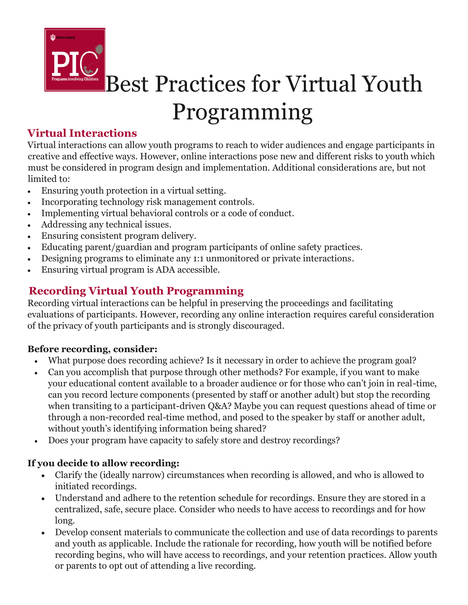

Best Practices for Virtual Youth Programming

## **Virtual Interactions**

Virtual interactions can allow youth programs to reach to wider audiences and engage participants in creative and effective ways. However, online interactions pose new and different risks to youth which must be considered in program design and implementation. Additional considerations are, but not limited to:

- Ensuring youth protection in a virtual setting.
- Incorporating technology risk management controls.
- Implementing virtual behavioral controls or a code of conduct.
- Addressing any technical issues.
- Ensuring consistent program delivery.
- Educating parent/guardian and program participants of online safety practices.
- Designing programs to eliminate any 1:1 unmonitored or private interactions.
- Ensuring virtual program is ADA accessible.

## **Recording Virtual Youth Programming**

Recording virtual interactions can be helpful in preserving the proceedings and facilitating evaluations of participants. However, recording any online interaction requires careful consideration of the privacy of youth participants and is strongly discouraged.

#### **Before recording, consider:**

- What purpose does recording achieve? Is it necessary in order to achieve the program goal?
- Can you accomplish that purpose through other methods? For example, if you want to make your educational content available to a broader audience or for those who can't join in real-time, can you record lecture components (presented by staff or another adult) but stop the recording when transiting to a participant-driven Q&A? Maybe you can request questions ahead of time or through a non-recorded real-time method, and posed to the speaker by staff or another adult, without youth's identifying information being shared?
- Does your program have capacity to safely store and destroy recordings?

#### **If you decide to allow recording:**

- Clarify the (ideally narrow) circumstances when recording is allowed, and who is allowed to initiated recordings.
- Understand and adhere to the retention schedule for recordings. Ensure they are stored in a centralized, safe, secure place. Consider who needs to have access to recordings and for how long.
- Develop consent materials to communicate the collection and use of data recordings to parents and youth as applicable. Include the rationale for recording, how youth will be notified before recording begins, who will have access to recordings, and your retention practices. Allow youth or parents to opt out of attending a live recording.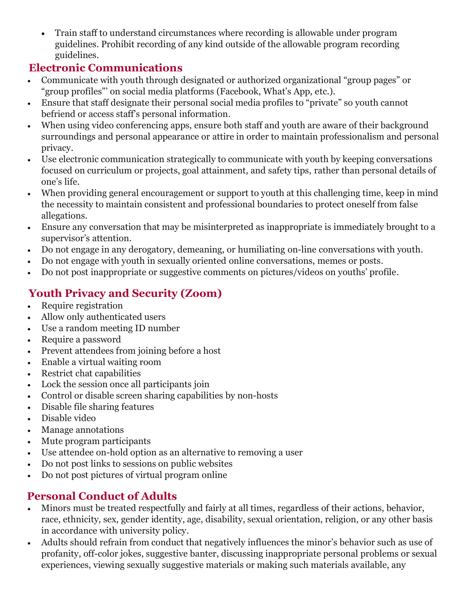• Train staff to understand circumstances where recording is allowable under program guidelines. Prohibit recording of any kind outside of the allowable program recording guidelines.

#### **Electronic Communications**

- Communicate with youth through designated or authorized organizational "group pages" or "group profiles"' on social media platforms (Facebook, What's App, etc.).
- Ensure that staff designate their personal social media profiles to "private" so youth cannot befriend or access staff's personal information.
- When using video conferencing apps, ensure both staff and youth are aware of their background surroundings and personal appearance or attire in order to maintain professionalism and personal privacy.
- Use electronic communication strategically to communicate with youth by keeping conversations focused on curriculum or projects, goal attainment, and safety tips, rather than personal details of one's life.
- When providing general encouragement or support to youth at this challenging time, keep in mind the necessity to maintain consistent and professional boundaries to protect oneself from false allegations.
- Ensure any conversation that may be misinterpreted as inappropriate is immediately brought to a supervisor's attention.
- Do not engage in any derogatory, demeaning, or humiliating on-line conversations with youth.
- Do not engage with youth in sexually oriented online conversations, memes or posts.
- Do not post inappropriate or suggestive comments on pictures/videos on youths' profile.

# **Youth Privacy and Security (Zoom)**

- Require registration
- Allow only authenticated users
- Use a random meeting ID number
- Require a password
- Prevent attendees from joining before a host
- Enable a virtual waiting room
- Restrict chat capabilities
- Lock the session once all participants join
- Control or disable screen sharing capabilities by non-hosts
- Disable file sharing features
- Disable video
- Manage annotations
- Mute program participants
- Use attendee on-hold option as an alternative to removing a user
- Do not post links to sessions on public websites
- Do not post pictures of virtual program online

### **Personal Conduct of Adults**

- Minors must be treated respectfully and fairly at all times, regardless of their actions, behavior, race, ethnicity, sex, gender identity, age, disability, sexual orientation, religion, or any other basis in accordance with university policy.
- Adults should refrain from conduct that negatively influences the minor's behavior such as use of profanity, off-color jokes, suggestive banter, discussing inappropriate personal problems or sexual experiences, viewing sexually suggestive materials or making such materials available, any